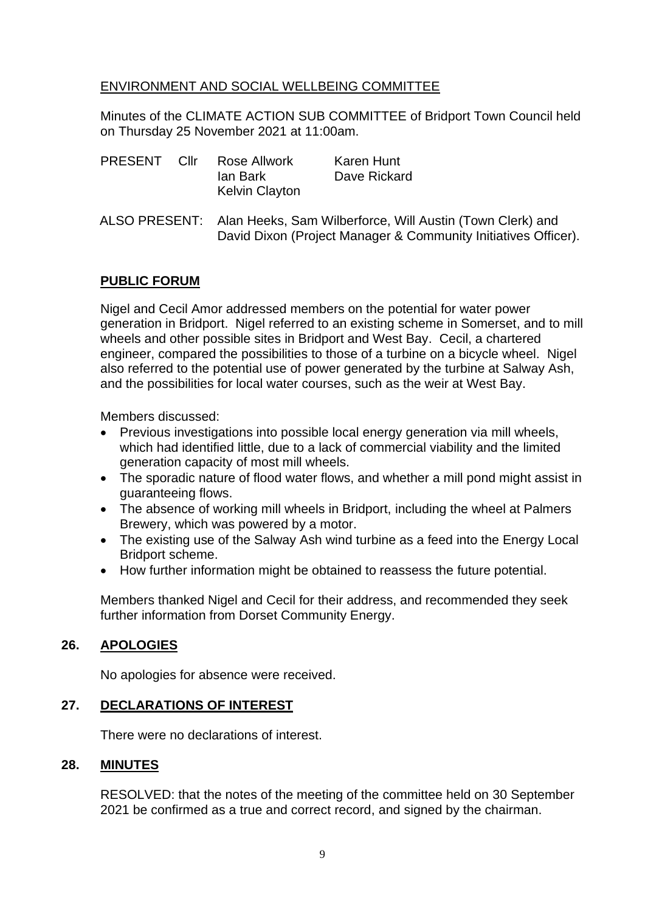# ENVIRONMENT AND SOCIAL WELLBEING COMMITTEE

Minutes of the CLIMATE ACTION SUB COMMITTEE of Bridport Town Council held on Thursday 25 November 2021 at 11:00am.

| PRESENT | Cllr | Rose Allwork          | Karen Hunt   |
|---------|------|-----------------------|--------------|
|         |      | lan Bark              | Dave Rickard |
|         |      | <b>Kelvin Clayton</b> |              |

ALSO PRESENT: Alan Heeks, Sam Wilberforce, Will Austin (Town Clerk) and David Dixon (Project Manager & Community Initiatives Officer).

### **PUBLIC FORUM**

Nigel and Cecil Amor addressed members on the potential for water power generation in Bridport. Nigel referred to an existing scheme in Somerset, and to mill wheels and other possible sites in Bridport and West Bay. Cecil, a chartered engineer, compared the possibilities to those of a turbine on a bicycle wheel. Nigel also referred to the potential use of power generated by the turbine at Salway Ash, and the possibilities for local water courses, such as the weir at West Bay.

Members discussed:

- Previous investigations into possible local energy generation via mill wheels, which had identified little, due to a lack of commercial viability and the limited generation capacity of most mill wheels.
- The sporadic nature of flood water flows, and whether a mill pond might assist in guaranteeing flows.
- The absence of working mill wheels in Bridport, including the wheel at Palmers Brewery, which was powered by a motor.
- The existing use of the Salway Ash wind turbine as a feed into the Energy Local Bridport scheme.
- How further information might be obtained to reassess the future potential.

Members thanked Nigel and Cecil for their address, and recommended they seek further information from Dorset Community Energy.

# **26. APOLOGIES**

No apologies for absence were received.

## **27. DECLARATIONS OF INTEREST**

There were no declarations of interest.

### **28. MINUTES**

RESOLVED: that the notes of the meeting of the committee held on 30 September 2021 be confirmed as a true and correct record, and signed by the chairman.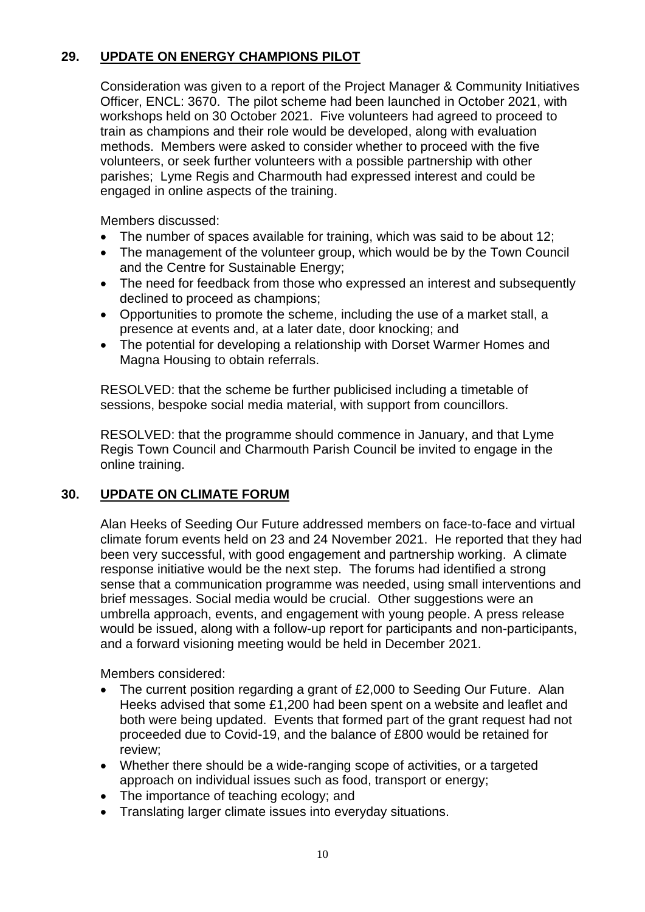# **29. UPDATE ON ENERGY CHAMPIONS PILOT**

Consideration was given to a report of the Project Manager & Community Initiatives Officer, ENCL: 3670. The pilot scheme had been launched in October 2021, with workshops held on 30 October 2021. Five volunteers had agreed to proceed to train as champions and their role would be developed, along with evaluation methods. Members were asked to consider whether to proceed with the five volunteers, or seek further volunteers with a possible partnership with other parishes; Lyme Regis and Charmouth had expressed interest and could be engaged in online aspects of the training.

Members discussed:

- The number of spaces available for training, which was said to be about 12;
- The management of the volunteer group, which would be by the Town Council and the Centre for Sustainable Energy;
- The need for feedback from those who expressed an interest and subsequently declined to proceed as champions;
- Opportunities to promote the scheme, including the use of a market stall, a presence at events and, at a later date, door knocking; and
- The potential for developing a relationship with Dorset Warmer Homes and Magna Housing to obtain referrals.

RESOLVED: that the scheme be further publicised including a timetable of sessions, bespoke social media material, with support from councillors.

RESOLVED: that the programme should commence in January, and that Lyme Regis Town Council and Charmouth Parish Council be invited to engage in the online training.

# **30. UPDATE ON CLIMATE FORUM**

Alan Heeks of Seeding Our Future addressed members on face-to-face and virtual climate forum events held on 23 and 24 November 2021. He reported that they had been very successful, with good engagement and partnership working. A climate response initiative would be the next step. The forums had identified a strong sense that a communication programme was needed, using small interventions and brief messages. Social media would be crucial. Other suggestions were an umbrella approach, events, and engagement with young people. A press release would be issued, along with a follow-up report for participants and non-participants, and a forward visioning meeting would be held in December 2021.

Members considered:

- The current position regarding a grant of £2,000 to Seeding Our Future. Alan Heeks advised that some £1,200 had been spent on a website and leaflet and both were being updated. Events that formed part of the grant request had not proceeded due to Covid-19, and the balance of £800 would be retained for review;
- Whether there should be a wide-ranging scope of activities, or a targeted approach on individual issues such as food, transport or energy;
- The importance of teaching ecology; and
- Translating larger climate issues into everyday situations.